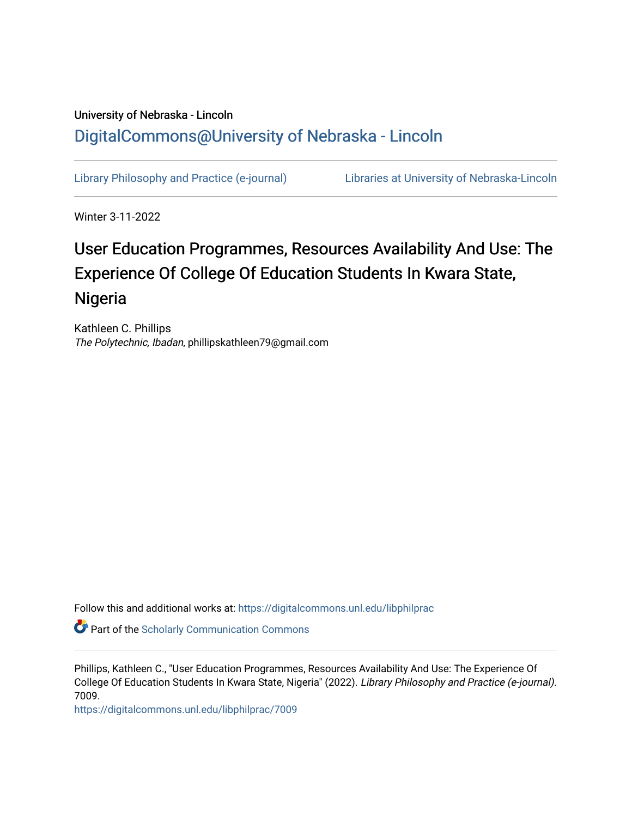## University of Nebraska - Lincoln [DigitalCommons@University of Nebraska - Lincoln](https://digitalcommons.unl.edu/)

[Library Philosophy and Practice \(e-journal\)](https://digitalcommons.unl.edu/libphilprac) [Libraries at University of Nebraska-Lincoln](https://digitalcommons.unl.edu/libraries) 

Winter 3-11-2022

# User Education Programmes, Resources Availability And Use: The Experience Of College Of Education Students In Kwara State, Nigeria

Kathleen C. Phillips The Polytechnic, Ibadan, phillipskathleen79@gmail.com

Follow this and additional works at: [https://digitalcommons.unl.edu/libphilprac](https://digitalcommons.unl.edu/libphilprac?utm_source=digitalcommons.unl.edu%2Flibphilprac%2F7009&utm_medium=PDF&utm_campaign=PDFCoverPages) 

Part of the [Scholarly Communication Commons](http://network.bepress.com/hgg/discipline/1272?utm_source=digitalcommons.unl.edu%2Flibphilprac%2F7009&utm_medium=PDF&utm_campaign=PDFCoverPages) 

Phillips, Kathleen C., "User Education Programmes, Resources Availability And Use: The Experience Of College Of Education Students In Kwara State, Nigeria" (2022). Library Philosophy and Practice (e-journal). 7009.

[https://digitalcommons.unl.edu/libphilprac/7009](https://digitalcommons.unl.edu/libphilprac/7009?utm_source=digitalcommons.unl.edu%2Flibphilprac%2F7009&utm_medium=PDF&utm_campaign=PDFCoverPages)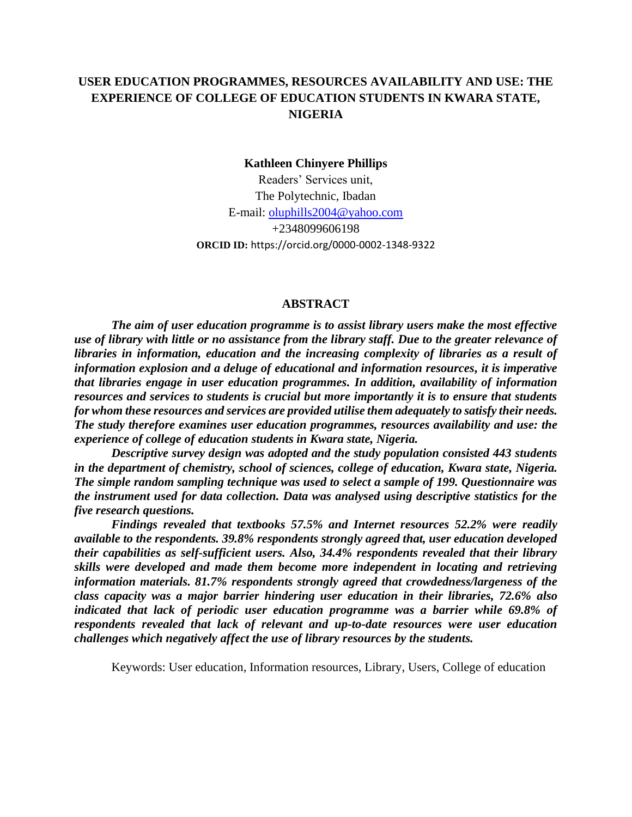### **USER EDUCATION PROGRAMMES, RESOURCES AVAILABILITY AND USE: THE EXPERIENCE OF COLLEGE OF EDUCATION STUDENTS IN KWARA STATE, NIGERIA**

#### **Kathleen Chinyere Phillips**

Readers' Services unit, The Polytechnic, Ibadan E-mail: [oluphills2004@yahoo.com](mailto:oluphills2004@yahoo.com) +2348099606198 **ORCID ID:** https://orcid.org/0000-0002-1348-9322

#### **ABSTRACT**

*The aim of user education programme is to assist library users make the most effective use of library with little or no assistance from the library staff. Due to the greater relevance of libraries in information, education and the increasing complexity of libraries as a result of information explosion and a deluge of educational and information resources, it is imperative that libraries engage in user education programmes. In addition, availability of information resources and services to students is crucial but more importantly it is to ensure that students for whom these resources and services are provided utilise them adequately to satisfy their needs. The study therefore examines user education programmes, resources availability and use: the experience of college of education students in Kwara state, Nigeria.*

*Descriptive survey design was adopted and the study population consisted 443 students in the department of chemistry, school of sciences, college of education, Kwara state, Nigeria. The simple random sampling technique was used to select a sample of 199. Questionnaire was the instrument used for data collection. Data was analysed using descriptive statistics for the five research questions.* 

*Findings revealed that textbooks 57.5% and Internet resources 52.2% were readily available to the respondents. 39.8% respondents strongly agreed that, user education developed their capabilities as self-sufficient users. Also, 34.4% respondents revealed that their library skills were developed and made them become more independent in locating and retrieving information materials. 81.7% respondents strongly agreed that crowdedness/largeness of the class capacity was a major barrier hindering user education in their libraries, 72.6% also*  indicated that lack of periodic user education programme was a barrier while 69.8% of *respondents revealed that lack of relevant and up-to-date resources were user education challenges which negatively affect the use of library resources by the students.*

Keywords: User education, Information resources, Library, Users, College of education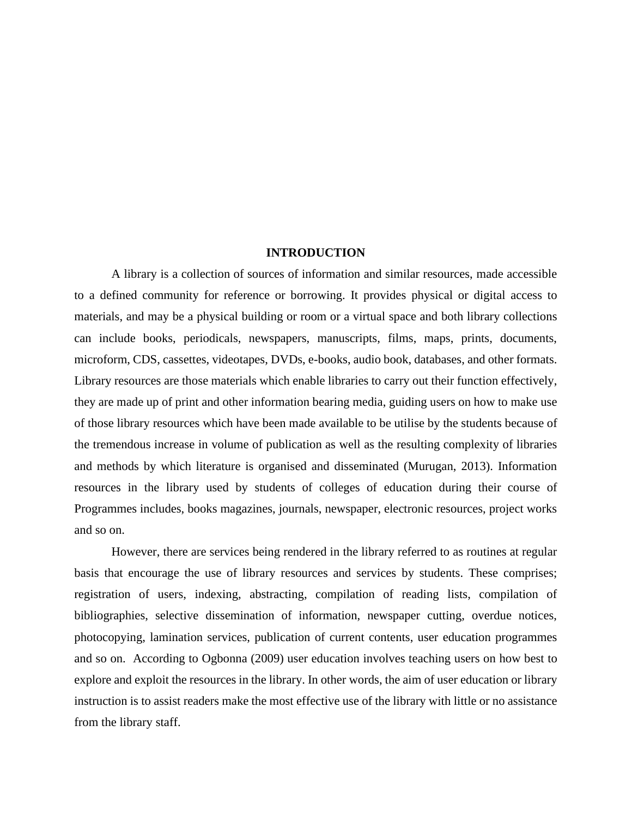#### **INTRODUCTION**

A library is a collection of sources of information and similar resources, made accessible to a defined community for reference or borrowing. It provides physical or digital access to materials, and may be a physical building or room or a virtual space and both library collections can include books, periodicals, newspapers, manuscripts, films, maps, prints, documents, microform, CDS, cassettes, videotapes, DVDs, e-books, audio book, databases, and other formats. Library resources are those materials which enable libraries to carry out their function effectively, they are made up of print and other information bearing media, guiding users on how to make use of those library resources which have been made available to be utilise by the students because of the tremendous increase in volume of publication as well as the resulting complexity of libraries and methods by which literature is organised and disseminated (Murugan, 2013). Information resources in the library used by students of colleges of education during their course of Programmes includes, books magazines, journals, newspaper, electronic resources, project works and so on.

However, there are services being rendered in the library referred to as routines at regular basis that encourage the use of library resources and services by students. These comprises; registration of users, indexing, abstracting, compilation of reading lists, compilation of bibliographies, selective dissemination of information, newspaper cutting, overdue notices, photocopying, lamination services, publication of current contents, user education programmes and so on. According to Ogbonna (2009) user education involves teaching users on how best to explore and exploit the resources in the library. In other words, the aim of user education or library instruction is to assist readers make the most effective use of the library with little or no assistance from the library staff.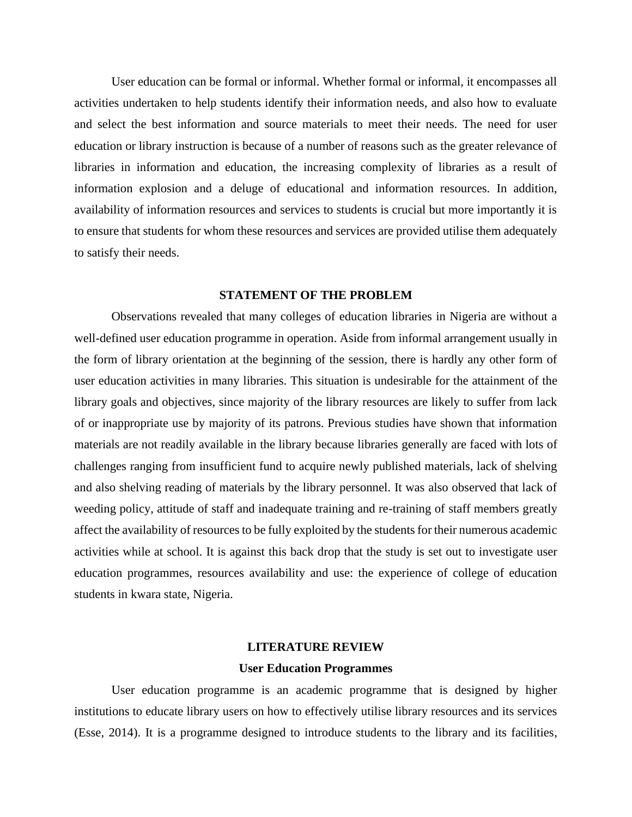User education can be formal or informal. Whether formal or informal, it encompasses all activities undertaken to help students identify their information needs, and also how to evaluate and select the best information and source materials to meet their needs. The need for user education or library instruction is because of a number of reasons such as the greater relevance of libraries in information and education, the increasing complexity of libraries as a result of information explosion and a deluge of educational and information resources. In addition, availability of information resources and services to students is crucial but more importantly it is to ensure that students for whom these resources and services are provided utilise them adequately to satisfy their needs.

#### **STATEMENT OF THE PROBLEM**

Observations revealed that many colleges of education libraries in Nigeria are without a well-defined user education programme in operation. Aside from informal arrangement usually in the form of library orientation at the beginning of the session, there is hardly any other form of user education activities in many libraries. This situation is undesirable for the attainment of the library goals and objectives, since majority of the library resources are likely to suffer from lack of or inappropriate use by majority of its patrons. Previous studies have shown that information materials are not readily available in the library because libraries generally are faced with lots of challenges ranging from insufficient fund to acquire newly published materials, lack of shelving and also shelving reading of materials by the library personnel. It was also observed that lack of weeding policy, attitude of staff and inadequate training and re-training of staff members greatly affect the availability of resources to be fully exploited by the students for their numerous academic activities while at school. It is against this back drop that the study is set out to investigate user education programmes, resources availability and use: the experience of college of education students in kwara state, Nigeria.

## **LITERATURE REVIEW**

#### **User Education Programmes**

User education programme is an academic programme that is designed by higher institutions to educate library users on how to effectively utilise library resources and its services (Esse, 2014). It is a programme designed to introduce students to the library and its facilities,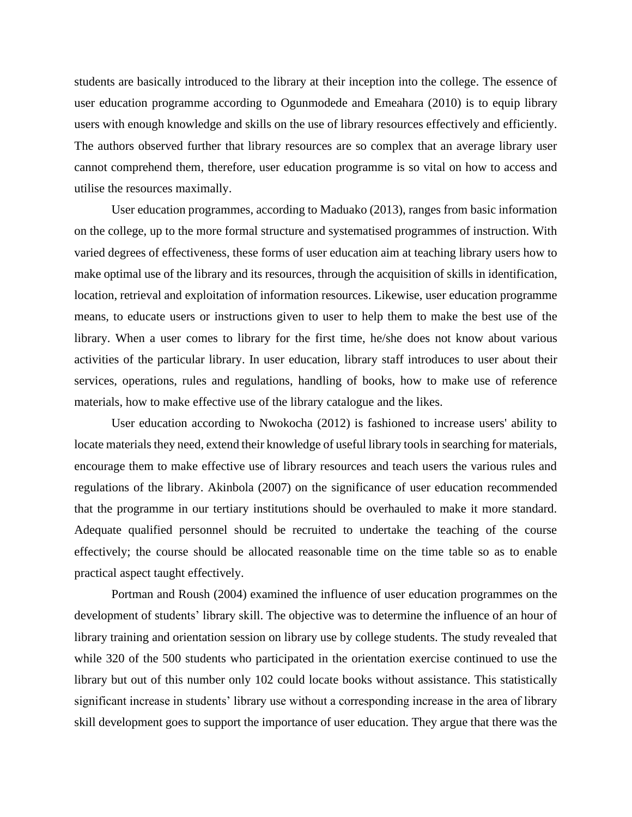students are basically introduced to the library at their inception into the college. The essence of user education programme according to Ogunmodede and Emeahara (2010) is to equip library users with enough knowledge and skills on the use of library resources effectively and efficiently. The authors observed further that library resources are so complex that an average library user cannot comprehend them, therefore, user education programme is so vital on how to access and utilise the resources maximally.

User education programmes, according to Maduako (2013), ranges from basic information on the college, up to the more formal structure and systematised programmes of instruction. With varied degrees of effectiveness, these forms of user education aim at teaching library users how to make optimal use of the library and its resources, through the acquisition of skills in identification, location, retrieval and exploitation of information resources. Likewise, user education programme means, to educate users or instructions given to user to help them to make the best use of the library. When a user comes to library for the first time, he/she does not know about various activities of the particular library. In user education, library staff introduces to user about their services, operations, rules and regulations, handling of books, how to make use of reference materials, how to make effective use of the library catalogue and the likes.

User education according to Nwokocha (2012) is fashioned to increase users' ability to locate materials they need, extend their knowledge of useful library tools in searching for materials, encourage them to make effective use of library resources and teach users the various rules and regulations of the library. Akinbola (2007) on the significance of user education recommended that the programme in our tertiary institutions should be overhauled to make it more standard. Adequate qualified personnel should be recruited to undertake the teaching of the course effectively; the course should be allocated reasonable time on the time table so as to enable practical aspect taught effectively.

Portman and Roush (2004) examined the influence of user education programmes on the development of students' library skill. The objective was to determine the influence of an hour of library training and orientation session on library use by college students. The study revealed that while 320 of the 500 students who participated in the orientation exercise continued to use the library but out of this number only 102 could locate books without assistance. This statistically significant increase in students' library use without a corresponding increase in the area of library skill development goes to support the importance of user education. They argue that there was the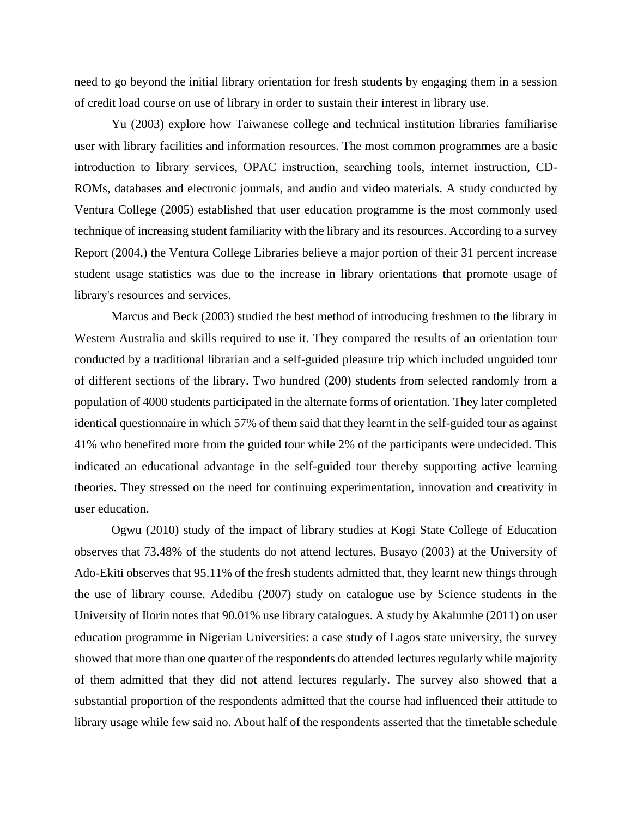need to go beyond the initial library orientation for fresh students by engaging them in a session of credit load course on use of library in order to sustain their interest in library use.

Yu (2003) explore how Taiwanese college and technical institution libraries familiarise user with library facilities and information resources. The most common programmes are a basic introduction to library services, OPAC instruction, searching tools, internet instruction, CD-ROMs, databases and electronic journals, and audio and video materials. A study conducted by Ventura College (2005) established that user education programme is the most commonly used technique of increasing student familiarity with the library and its resources. According to a survey Report (2004,) the Ventura College Libraries believe a major portion of their 31 percent increase student usage statistics was due to the increase in library orientations that promote usage of library's resources and services.

Marcus and Beck (2003) studied the best method of introducing freshmen to the library in Western Australia and skills required to use it. They compared the results of an orientation tour conducted by a traditional librarian and a self-guided pleasure trip which included unguided tour of different sections of the library. Two hundred (200) students from selected randomly from a population of 4000 students participated in the alternate forms of orientation. They later completed identical questionnaire in which 57% of them said that they learnt in the self-guided tour as against 41% who benefited more from the guided tour while 2% of the participants were undecided. This indicated an educational advantage in the self-guided tour thereby supporting active learning theories. They stressed on the need for continuing experimentation, innovation and creativity in user education.

Ogwu (2010) study of the impact of library studies at Kogi State College of Education observes that 73.48% of the students do not attend lectures. Busayo (2003) at the University of Ado-Ekiti observes that 95.11% of the fresh students admitted that, they learnt new things through the use of library course. Adedibu (2007) study on catalogue use by Science students in the University of Ilorin notes that 90.01% use library catalogues. A study by Akalumhe (2011) on user education programme in Nigerian Universities: a case study of Lagos state university, the survey showed that more than one quarter of the respondents do attended lectures regularly while majority of them admitted that they did not attend lectures regularly. The survey also showed that a substantial proportion of the respondents admitted that the course had influenced their attitude to library usage while few said no. About half of the respondents asserted that the timetable schedule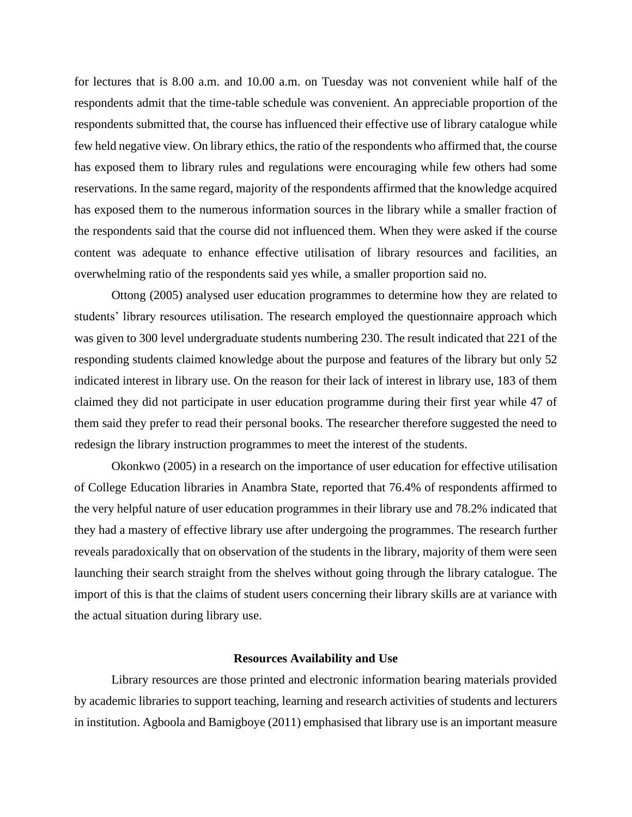for lectures that is 8.00 a.m. and 10.00 a.m. on Tuesday was not convenient while half of the respondents admit that the time-table schedule was convenient. An appreciable proportion of the respondents submitted that, the course has influenced their effective use of library catalogue while few held negative view. On library ethics, the ratio of the respondents who affirmed that, the course has exposed them to library rules and regulations were encouraging while few others had some reservations. In the same regard, majority of the respondents affirmed that the knowledge acquired has exposed them to the numerous information sources in the library while a smaller fraction of the respondents said that the course did not influenced them. When they were asked if the course content was adequate to enhance effective utilisation of library resources and facilities, an overwhelming ratio of the respondents said yes while, a smaller proportion said no.

Ottong (2005) analysed user education programmes to determine how they are related to students' library resources utilisation. The research employed the questionnaire approach which was given to 300 level undergraduate students numbering 230. The result indicated that 221 of the responding students claimed knowledge about the purpose and features of the library but only 52 indicated interest in library use. On the reason for their lack of interest in library use, 183 of them claimed they did not participate in user education programme during their first year while 47 of them said they prefer to read their personal books. The researcher therefore suggested the need to redesign the library instruction programmes to meet the interest of the students.

Okonkwo (2005) in a research on the importance of user education for effective utilisation of College Education libraries in Anambra State, reported that 76.4% of respondents affirmed to the very helpful nature of user education programmes in their library use and 78.2% indicated that they had a mastery of effective library use after undergoing the programmes. The research further reveals paradoxically that on observation of the students in the library, majority of them were seen launching their search straight from the shelves without going through the library catalogue. The import of this is that the claims of student users concerning their library skills are at variance with the actual situation during library use.

#### **Resources Availability and Use**

Library resources are those printed and electronic information bearing materials provided by academic libraries to support teaching, learning and research activities of students and lecturers in institution. Agboola and Bamigboye (2011) emphasised that library use is an important measure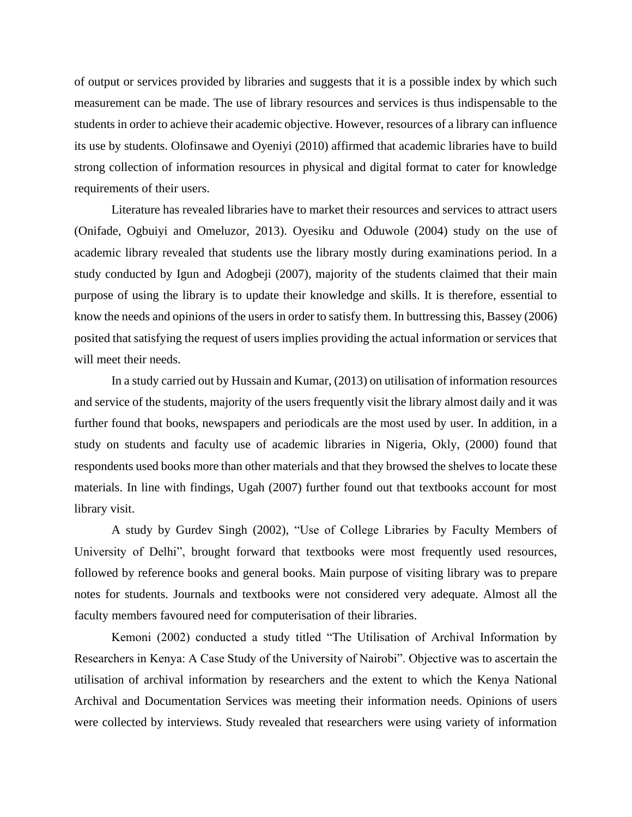of output or services provided by libraries and suggests that it is a possible index by which such measurement can be made. The use of library resources and services is thus indispensable to the students in order to achieve their academic objective. However, resources of a library can influence its use by students. Olofinsawe and Oyeniyi (2010) affirmed that academic libraries have to build strong collection of information resources in physical and digital format to cater for knowledge requirements of their users.

Literature has revealed libraries have to market their resources and services to attract users (Onifade, Ogbuiyi and Omeluzor, 2013). Oyesiku and Oduwole (2004) study on the use of academic library revealed that students use the library mostly during examinations period. In a study conducted by Igun and Adogbeji (2007), majority of the students claimed that their main purpose of using the library is to update their knowledge and skills. It is therefore, essential to know the needs and opinions of the users in order to satisfy them. In buttressing this, Bassey (2006) posited that satisfying the request of users implies providing the actual information or services that will meet their needs.

In a study carried out by Hussain and Kumar, (2013) on utilisation of information resources and service of the students, majority of the users frequently visit the library almost daily and it was further found that books, newspapers and periodicals are the most used by user. In addition, in a study on students and faculty use of academic libraries in Nigeria, Okly, (2000) found that respondents used books more than other materials and that they browsed the shelves to locate these materials. In line with findings, Ugah (2007) further found out that textbooks account for most library visit.

A study by Gurdev Singh (2002), "Use of College Libraries by Faculty Members of University of Delhi", brought forward that textbooks were most frequently used resources, followed by reference books and general books. Main purpose of visiting library was to prepare notes for students. Journals and textbooks were not considered very adequate. Almost all the faculty members favoured need for computerisation of their libraries.

Kemoni (2002) conducted a study titled "The Utilisation of Archival Information by Researchers in Kenya: A Case Study of the University of Nairobi". Objective was to ascertain the utilisation of archival information by researchers and the extent to which the Kenya National Archival and Documentation Services was meeting their information needs. Opinions of users were collected by interviews. Study revealed that researchers were using variety of information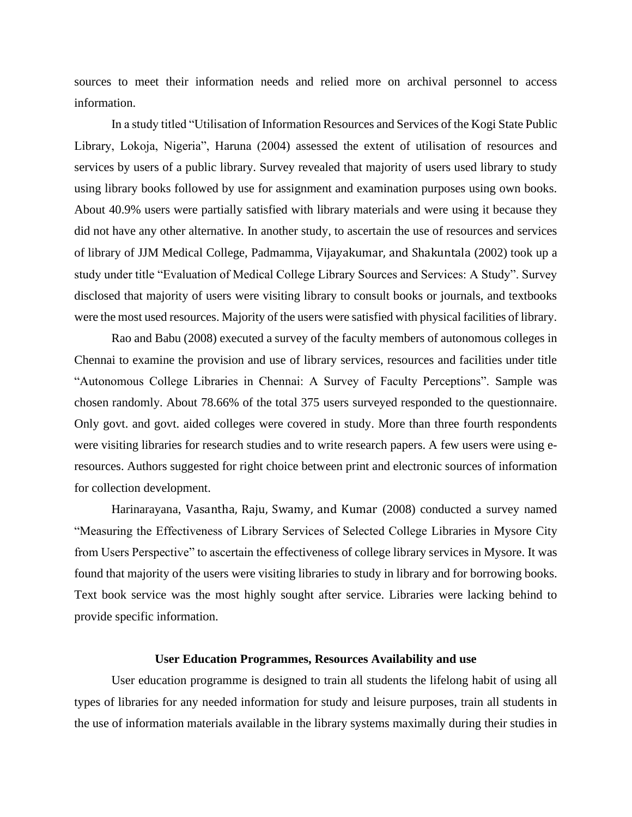sources to meet their information needs and relied more on archival personnel to access information.

In a study titled "Utilisation of Information Resources and Services of the Kogi State Public Library, Lokoja, Nigeria", Haruna (2004) assessed the extent of utilisation of resources and services by users of a public library. Survey revealed that majority of users used library to study using library books followed by use for assignment and examination purposes using own books. About 40.9% users were partially satisfied with library materials and were using it because they did not have any other alternative. In another study, to ascertain the use of resources and services of library of JJM Medical College, Padmamma, Vijayakumar, and Shakuntala (2002) took up a study under title "Evaluation of Medical College Library Sources and Services: A Study". Survey disclosed that majority of users were visiting library to consult books or journals, and textbooks were the most used resources. Majority of the users were satisfied with physical facilities of library.

Rao and Babu (2008) executed a survey of the faculty members of autonomous colleges in Chennai to examine the provision and use of library services, resources and facilities under title "Autonomous College Libraries in Chennai: A Survey of Faculty Perceptions". Sample was chosen randomly. About 78.66% of the total 375 users surveyed responded to the questionnaire. Only govt. and govt. aided colleges were covered in study. More than three fourth respondents were visiting libraries for research studies and to write research papers. A few users were using eresources. Authors suggested for right choice between print and electronic sources of information for collection development.

Harinarayana, Vasantha, Raju, Swamy, and Kumar (2008) conducted a survey named "Measuring the Effectiveness of Library Services of Selected College Libraries in Mysore City from Users Perspective" to ascertain the effectiveness of college library services in Mysore. It was found that majority of the users were visiting libraries to study in library and for borrowing books. Text book service was the most highly sought after service. Libraries were lacking behind to provide specific information.

#### **User Education Programmes, Resources Availability and use**

User education programme is designed to train all students the lifelong habit of using all types of libraries for any needed information for study and leisure purposes, train all students in the use of information materials available in the library systems maximally during their studies in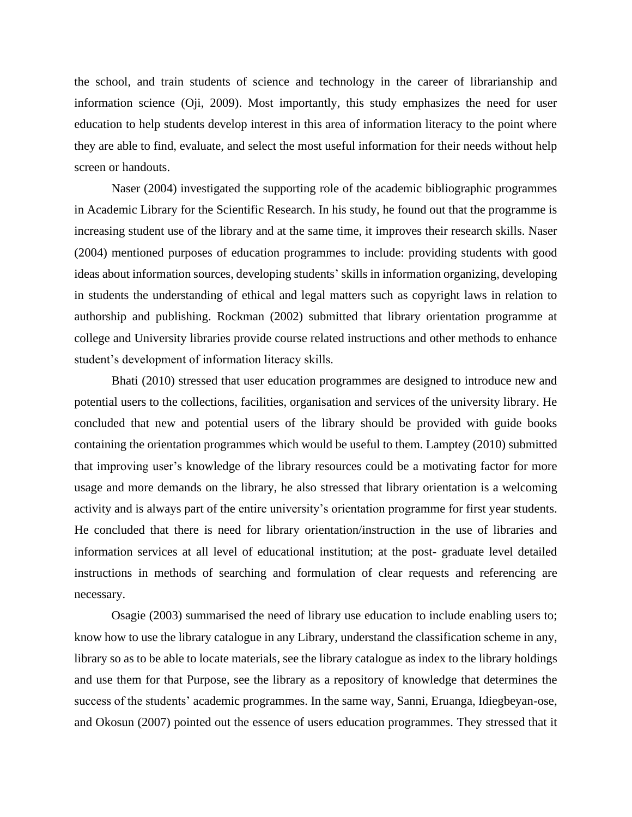the school, and train students of science and technology in the career of librarianship and information science (Oji, 2009). Most importantly, this study emphasizes the need for user education to help students develop interest in this area of information literacy to the point where they are able to find, evaluate, and select the most useful information for their needs without help screen or handouts.

Naser (2004) investigated the supporting role of the academic bibliographic programmes in Academic Library for the Scientific Research. In his study, he found out that the programme is increasing student use of the library and at the same time, it improves their research skills. Naser (2004) mentioned purposes of education programmes to include: providing students with good ideas about information sources, developing students' skills in information organizing, developing in students the understanding of ethical and legal matters such as copyright laws in relation to authorship and publishing. Rockman (2002) submitted that library orientation programme at college and University libraries provide course related instructions and other methods to enhance student's development of information literacy skills.

Bhati (2010) stressed that user education programmes are designed to introduce new and potential users to the collections, facilities, organisation and services of the university library. He concluded that new and potential users of the library should be provided with guide books containing the orientation programmes which would be useful to them. Lamptey (2010) submitted that improving user's knowledge of the library resources could be a motivating factor for more usage and more demands on the library, he also stressed that library orientation is a welcoming activity and is always part of the entire university's orientation programme for first year students. He concluded that there is need for library orientation/instruction in the use of libraries and information services at all level of educational institution; at the post- graduate level detailed instructions in methods of searching and formulation of clear requests and referencing are necessary.

Osagie (2003) summarised the need of library use education to include enabling users to; know how to use the library catalogue in any Library, understand the classification scheme in any, library so as to be able to locate materials, see the library catalogue as index to the library holdings and use them for that Purpose, see the library as a repository of knowledge that determines the success of the students' academic programmes. In the same way, Sanni, Eruanga, Idiegbeyan-ose, and Okosun (2007) pointed out the essence of users education programmes. They stressed that it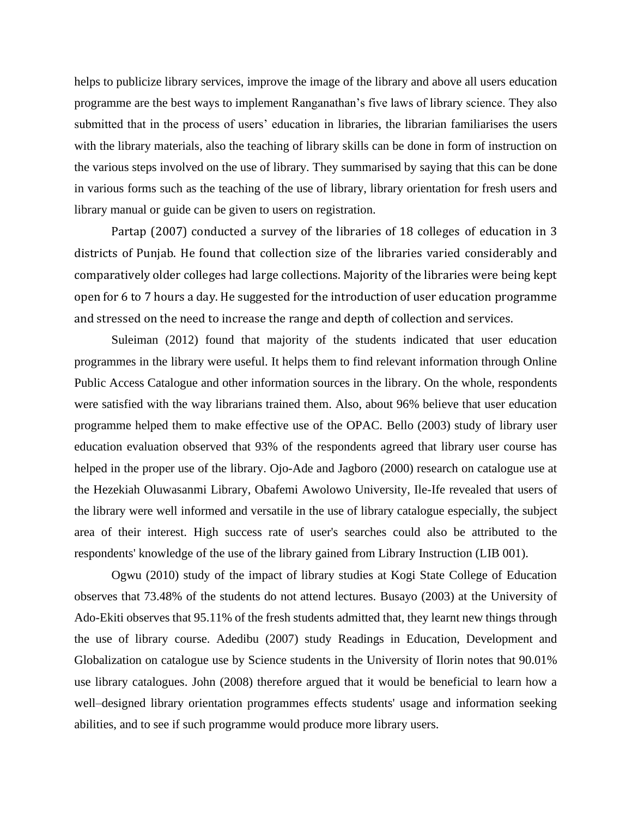helps to publicize library services, improve the image of the library and above all users education programme are the best ways to implement Ranganathan's five laws of library science. They also submitted that in the process of users' education in libraries, the librarian familiarises the users with the library materials, also the teaching of library skills can be done in form of instruction on the various steps involved on the use of library. They summarised by saying that this can be done in various forms such as the teaching of the use of library, library orientation for fresh users and library manual or guide can be given to users on registration.

Partap (2007) conducted a survey of the libraries of 18 colleges of education in 3 districts of Punjab. He found that collection size of the libraries varied considerably and comparatively older colleges had large collections. Majority of the libraries were being kept open for 6 to 7 hours a day. He suggested for the introduction of user education programme and stressed on the need to increase the range and depth of collection and services.

Suleiman (2012) found that majority of the students indicated that user education programmes in the library were useful. It helps them to find relevant information through Online Public Access Catalogue and other information sources in the library. On the whole, respondents were satisfied with the way librarians trained them. Also, about 96% believe that user education programme helped them to make effective use of the OPAC. Bello (2003) study of library user education evaluation observed that 93% of the respondents agreed that library user course has helped in the proper use of the library. Ojo-Ade and Jagboro (2000) research on catalogue use at the Hezekiah Oluwasanmi Library, Obafemi Awolowo University, Ile-Ife revealed that users of the library were well informed and versatile in the use of library catalogue especially, the subject area of their interest. High success rate of user's searches could also be attributed to the respondents' knowledge of the use of the library gained from Library Instruction (LIB 001).

Ogwu (2010) study of the impact of library studies at Kogi State College of Education observes that 73.48% of the students do not attend lectures. Busayo (2003) at the University of Ado-Ekiti observes that 95.11% of the fresh students admitted that, they learnt new things through the use of library course. Adedibu (2007) study Readings in Education, Development and Globalization on catalogue use by Science students in the University of Ilorin notes that 90.01% use library catalogues. John (2008) therefore argued that it would be beneficial to learn how a well–designed library orientation programmes effects students' usage and information seeking abilities, and to see if such programme would produce more library users.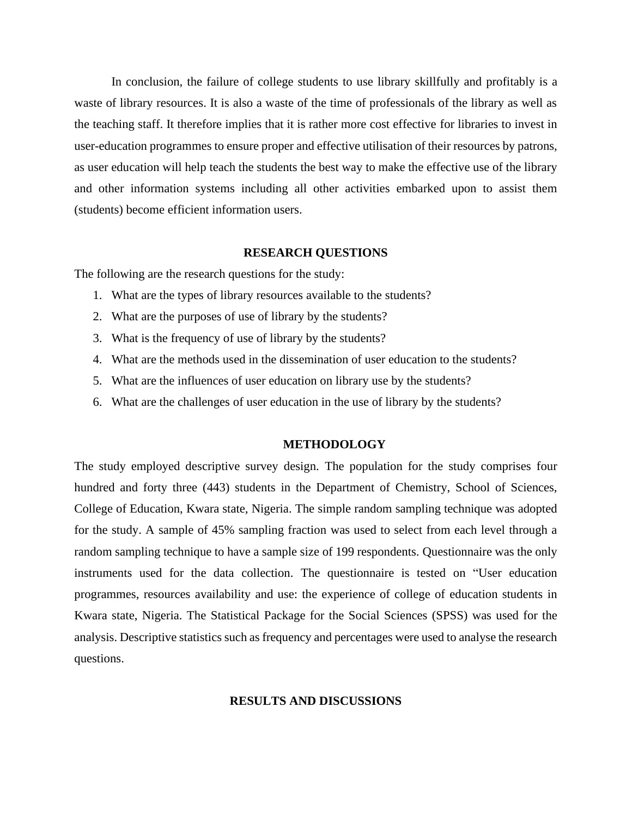In conclusion, the failure of college students to use library skillfully and profitably is a waste of library resources. It is also a waste of the time of professionals of the library as well as the teaching staff. It therefore implies that it is rather more cost effective for libraries to invest in user-education programmes to ensure proper and effective utilisation of their resources by patrons, as user education will help teach the students the best way to make the effective use of the library and other information systems including all other activities embarked upon to assist them (students) become efficient information users.

#### **RESEARCH QUESTIONS**

The following are the research questions for the study:

- 1. What are the types of library resources available to the students?
- 2. What are the purposes of use of library by the students?
- 3. What is the frequency of use of library by the students?
- 4. What are the methods used in the dissemination of user education to the students?
- 5. What are the influences of user education on library use by the students?
- 6. What are the challenges of user education in the use of library by the students?

#### **METHODOLOGY**

The study employed descriptive survey design. The population for the study comprises four hundred and forty three (443) students in the Department of Chemistry, School of Sciences, College of Education, Kwara state, Nigeria. The simple random sampling technique was adopted for the study. A sample of 45% sampling fraction was used to select from each level through a random sampling technique to have a sample size of 199 respondents. Questionnaire was the only instruments used for the data collection. The questionnaire is tested on "User education programmes, resources availability and use: the experience of college of education students in Kwara state, Nigeria. The Statistical Package for the Social Sciences (SPSS) was used for the analysis. Descriptive statistics such as frequency and percentages were used to analyse the research questions.

#### **RESULTS AND DISCUSSIONS**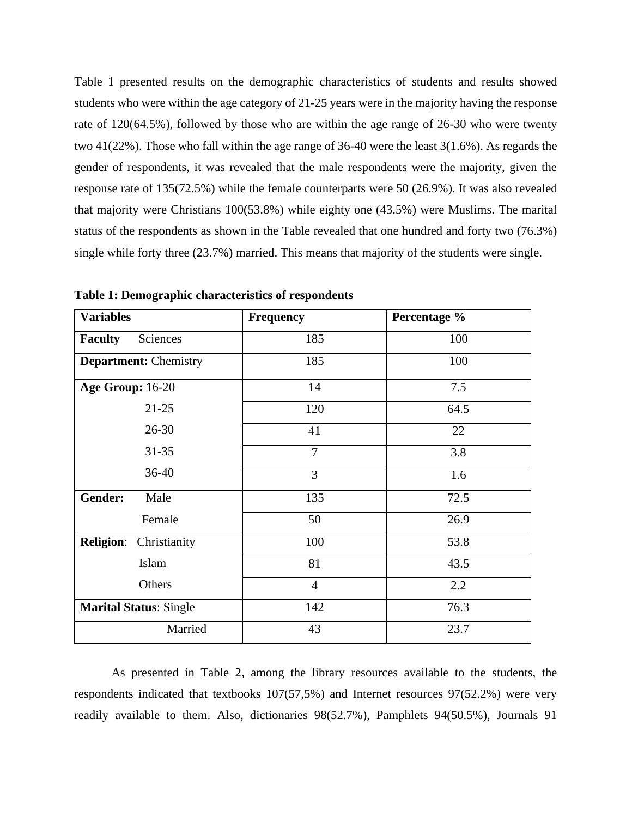Table 1 presented results on the demographic characteristics of students and results showed students who were within the age category of 21-25 years were in the majority having the response rate of 120(64.5%), followed by those who are within the age range of 26-30 who were twenty two 41(22%). Those who fall within the age range of 36-40 were the least 3(1.6%). As regards the gender of respondents, it was revealed that the male respondents were the majority, given the response rate of 135(72.5%) while the female counterparts were 50 (26.9%). It was also revealed that majority were Christians 100(53.8%) while eighty one (43.5%) were Muslims. The marital status of the respondents as shown in the Table revealed that one hundred and forty two (76.3%) single while forty three (23.7%) married. This means that majority of the students were single.

| <b>Variables</b>                 | <b>Frequency</b> | Percentage % |
|----------------------------------|------------------|--------------|
| <b>Faculty</b><br>Sciences       | 185              | 100          |
| <b>Department: Chemistry</b>     | 185              | 100          |
| Age Group: 16-20                 | 14               | 7.5          |
| $21 - 25$                        | 120              | 64.5         |
| $26 - 30$                        | 41               | 22           |
| $31 - 35$                        | $\overline{7}$   | 3.8          |
| 36-40                            | $\overline{3}$   | 1.6          |
| Gender:<br>Male                  | 135              | 72.5         |
| Female                           | 50               | 26.9         |
| <b>Religion:</b><br>Christianity | 100              | 53.8         |
| Islam                            | 81               | 43.5         |
| Others                           | $\overline{4}$   | 2.2          |
| <b>Marital Status: Single</b>    | 142              | 76.3         |
| Married                          | 43               | 23.7         |

**Table 1: Demographic characteristics of respondents**

As presented in Table 2, among the library resources available to the students, the respondents indicated that textbooks 107(57,5%) and Internet resources 97(52.2%) were very readily available to them. Also, dictionaries 98(52.7%), Pamphlets 94(50.5%), Journals 91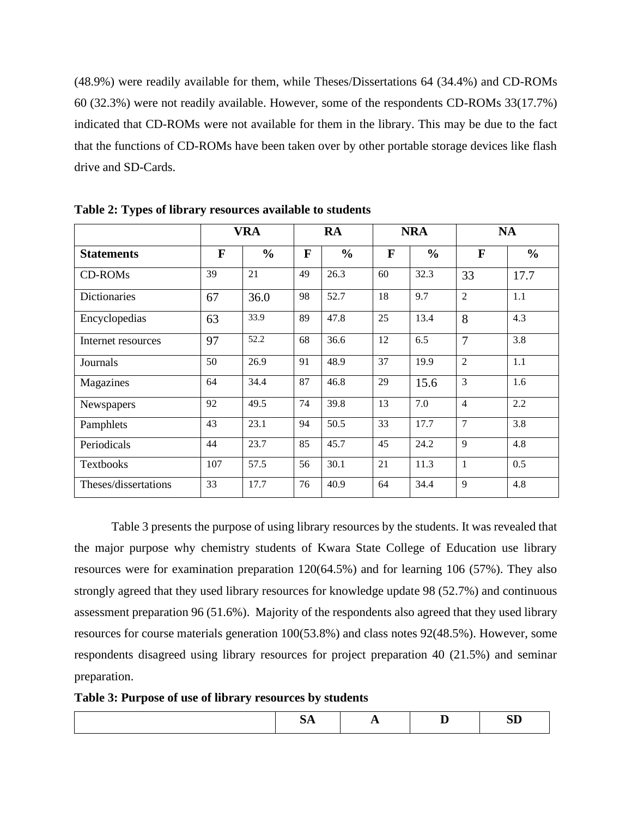(48.9%) were readily available for them, while Theses/Dissertations 64 (34.4%) and CD-ROMs 60 (32.3%) were not readily available. However, some of the respondents CD-ROMs 33(17.7%) indicated that CD-ROMs were not available for them in the library. This may be due to the fact that the functions of CD-ROMs have been taken over by other portable storage devices like flash drive and SD-Cards.

|                      |     | <b>VRA</b>    |    | <b>RA</b>     |    | <b>NRA</b>    |                | <b>NA</b>     |
|----------------------|-----|---------------|----|---------------|----|---------------|----------------|---------------|
| <b>Statements</b>    | F   | $\frac{0}{0}$ | F  | $\frac{0}{0}$ | F  | $\frac{0}{0}$ | F              | $\frac{0}{0}$ |
| <b>CD-ROMs</b>       | 39  | 21            | 49 | 26.3          | 60 | 32.3          | 33             | 17.7          |
| <b>Dictionaries</b>  | 67  | 36.0          | 98 | 52.7          | 18 | 9.7           | $\overline{2}$ | 1.1           |
| Encyclopedias        | 63  | 33.9          | 89 | 47.8          | 25 | 13.4          | 8              | 4.3           |
| Internet resources   | 97  | 52.2          | 68 | 36.6          | 12 | 6.5           | $\overline{7}$ | 3.8           |
| Journals             | 50  | 26.9          | 91 | 48.9          | 37 | 19.9          | $\overline{2}$ | 1.1           |
| Magazines            | 64  | 34.4          | 87 | 46.8          | 29 | 15.6          | 3              | 1.6           |
| Newspapers           | 92  | 49.5          | 74 | 39.8          | 13 | 7.0           | $\overline{4}$ | 2.2           |
| Pamphlets            | 43  | 23.1          | 94 | 50.5          | 33 | 17.7          | 7              | 3.8           |
| Periodicals          | 44  | 23.7          | 85 | 45.7          | 45 | 24.2          | 9              | 4.8           |
| <b>Textbooks</b>     | 107 | 57.5          | 56 | 30.1          | 21 | 11.3          | $\mathbf{1}$   | 0.5           |
| Theses/dissertations | 33  | 17.7          | 76 | 40.9          | 64 | 34.4          | 9              | 4.8           |

**Table 2: Types of library resources available to students**

Table 3 presents the purpose of using library resources by the students. It was revealed that the major purpose why chemistry students of Kwara State College of Education use library resources were for examination preparation 120(64.5%) and for learning 106 (57%). They also strongly agreed that they used library resources for knowledge update 98 (52.7%) and continuous assessment preparation 96 (51.6%). Majority of the respondents also agreed that they used library resources for course materials generation 100(53.8%) and class notes 92(48.5%). However, some respondents disagreed using library resources for project preparation 40 (21.5%) and seminar preparation.

**Table 3: Purpose of use of library resources by students**

| $- - -$ | $ -$ |  |
|---------|------|--|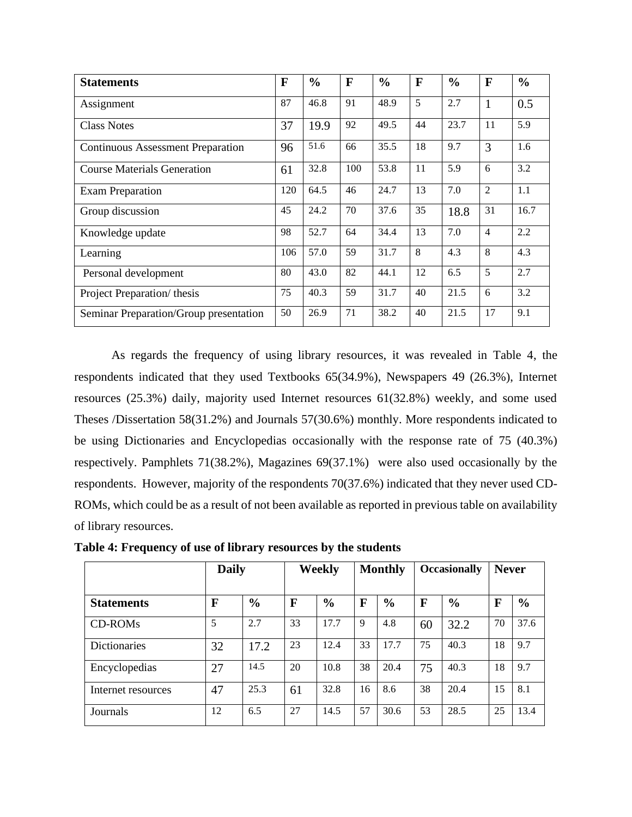| <b>Statements</b>                        | F   | $\frac{0}{0}$ | F   | $\frac{0}{0}$ | $\mathbf F$ | $\frac{0}{0}$ | F              | $\frac{0}{0}$ |
|------------------------------------------|-----|---------------|-----|---------------|-------------|---------------|----------------|---------------|
| Assignment                               | 87  | 46.8          | 91  | 48.9          | 5           | 2.7           | $\mathbf{1}$   | 0.5           |
| <b>Class Notes</b>                       | 37  | 19.9          | 92  | 49.5          | 44          | 23.7          | 11             | 5.9           |
| <b>Continuous Assessment Preparation</b> | 96  | 51.6          | 66  | 35.5          | 18          | 9.7           | 3              | 1.6           |
| <b>Course Materials Generation</b>       | 61  | 32.8          | 100 | 53.8          | 11          | 5.9           | 6              | 3.2           |
| <b>Exam Preparation</b>                  | 120 | 64.5          | 46  | 24.7          | 13          | 7.0           | $\overline{2}$ | 1.1           |
| Group discussion                         | 45  | 24.2          | 70  | 37.6          | 35          | 18.8          | 31             | 16.7          |
| Knowledge update                         | 98  | 52.7          | 64  | 34.4          | 13          | 7.0           | $\overline{4}$ | 2.2           |
| Learning                                 | 106 | 57.0          | 59  | 31.7          | 8           | 4.3           | 8              | 4.3           |
| Personal development                     | 80  | 43.0          | 82  | 44.1          | 12          | 6.5           | 5              | 2.7           |
| Project Preparation/ thesis              | 75  | 40.3          | 59  | 31.7          | 40          | 21.5          | 6              | 3.2           |
| Seminar Preparation/Group presentation   | 50  | 26.9          | 71  | 38.2          | 40          | 21.5          | 17             | 9.1           |

As regards the frequency of using library resources, it was revealed in Table 4, the respondents indicated that they used Textbooks 65(34.9%), Newspapers 49 (26.3%), Internet resources (25.3%) daily, majority used Internet resources 61(32.8%) weekly, and some used Theses /Dissertation 58(31.2%) and Journals 57(30.6%) monthly. More respondents indicated to be using Dictionaries and Encyclopedias occasionally with the response rate of 75 (40.3%) respectively. Pamphlets 71(38.2%), Magazines 69(37.1%) were also used occasionally by the respondents. However, majority of the respondents 70(37.6%) indicated that they never used CD-ROMs, which could be as a result of not been available as reported in previous table on availability of library resources.

|                     | <b>Daily</b> |               | Weekly |               | <b>Monthly</b> |               | <b>Occasionally</b> |               | <b>Never</b> |               |
|---------------------|--------------|---------------|--------|---------------|----------------|---------------|---------------------|---------------|--------------|---------------|
| <b>Statements</b>   | F            | $\frac{6}{6}$ | F      | $\frac{0}{0}$ | F              | $\frac{0}{0}$ | F                   | $\frac{6}{6}$ | F            | $\frac{0}{0}$ |
| CD-ROM <sub>s</sub> | 5            | 2.7           | 33     | 17.7          | 9              | 4.8           | 60                  | 32.2          | 70           | 37.6          |
| <b>Dictionaries</b> | 32           | 17.2          | 23     | 12.4          | 33             | 17.7          | 75                  | 40.3          | 18           | 9.7           |
| Encyclopedias       | 27           | 14.5          | 20     | 10.8          | 38             | 20.4          | 75                  | 40.3          | 18           | 9.7           |
| Internet resources  | 47           | 25.3          | 61     | 32.8          | 16             | 8.6           | 38                  | 20.4          | 15           | 8.1           |
| Journals            | 12           | 6.5           | 27     | 14.5          | 57             | 30.6          | 53                  | 28.5          | 25           | 13.4          |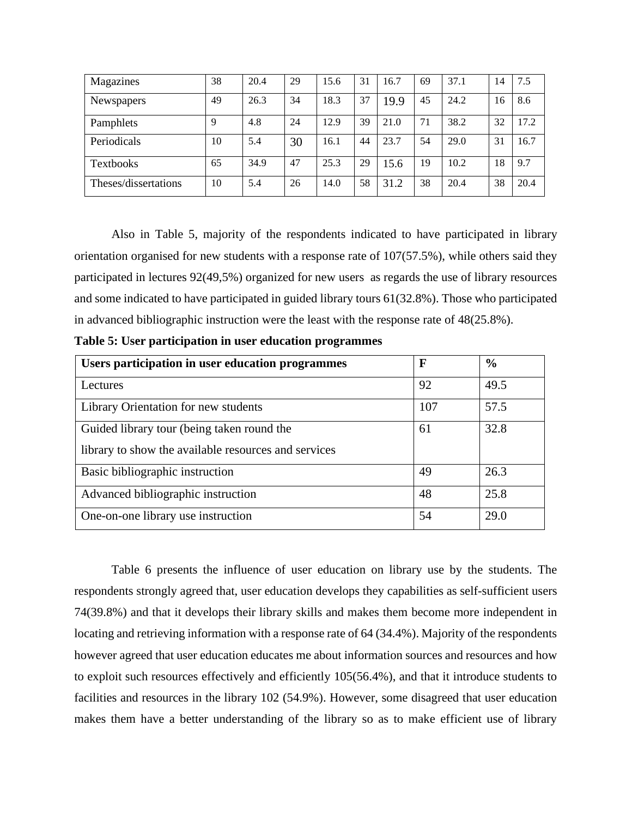| Magazines            | 38 | 20.4 | 29 | 15.6 | 31 | 16.7 | 69 | 37.1 | 14 | 7.5  |
|----------------------|----|------|----|------|----|------|----|------|----|------|
| Newspapers           | 49 | 26.3 | 34 | 18.3 | 37 | 19.9 | 45 | 24.2 | 16 | 8.6  |
| Pamphlets            | 9  | 4.8  | 24 | 12.9 | 39 | 21.0 | 71 | 38.2 | 32 | 17.2 |
| Periodicals          | 10 | 5.4  | 30 | 16.1 | 44 | 23.7 | 54 | 29.0 | 31 | 16.7 |
| <b>Textbooks</b>     | 65 | 34.9 | 47 | 25.3 | 29 | 15.6 | 19 | 10.2 | 18 | 9.7  |
| Theses/dissertations | 10 | 5.4  | 26 | 14.0 | 58 | 31.2 | 38 | 20.4 | 38 | 20.4 |

Also in Table 5, majority of the respondents indicated to have participated in library orientation organised for new students with a response rate of 107(57.5%), while others said they participated in lectures 92(49,5%) organized for new users as regards the use of library resources and some indicated to have participated in guided library tours 61(32.8%). Those who participated in advanced bibliographic instruction were the least with the response rate of 48(25.8%).

|  |  |  |  |  |  | Table 5: User participation in user education programmes |  |
|--|--|--|--|--|--|----------------------------------------------------------|--|
|  |  |  |  |  |  |                                                          |  |

| Users participation in user education programmes     | F   | $\frac{0}{0}$ |
|------------------------------------------------------|-----|---------------|
| Lectures                                             | 92  | 49.5          |
| Library Orientation for new students                 | 107 | 57.5          |
| Guided library tour (being taken round the           | 61  | 32.8          |
| library to show the available resources and services |     |               |
| Basic bibliographic instruction                      | 49  | 26.3          |
| Advanced bibliographic instruction                   | 48  | 25.8          |
| One-on-one library use instruction                   | 54  | 29.0          |

Table 6 presents the influence of user education on library use by the students. The respondents strongly agreed that, user education develops they capabilities as self-sufficient users 74(39.8%) and that it develops their library skills and makes them become more independent in locating and retrieving information with a response rate of 64 (34.4%). Majority of the respondents however agreed that user education educates me about information sources and resources and how to exploit such resources effectively and efficiently 105(56.4%), and that it introduce students to facilities and resources in the library 102 (54.9%). However, some disagreed that user education makes them have a better understanding of the library so as to make efficient use of library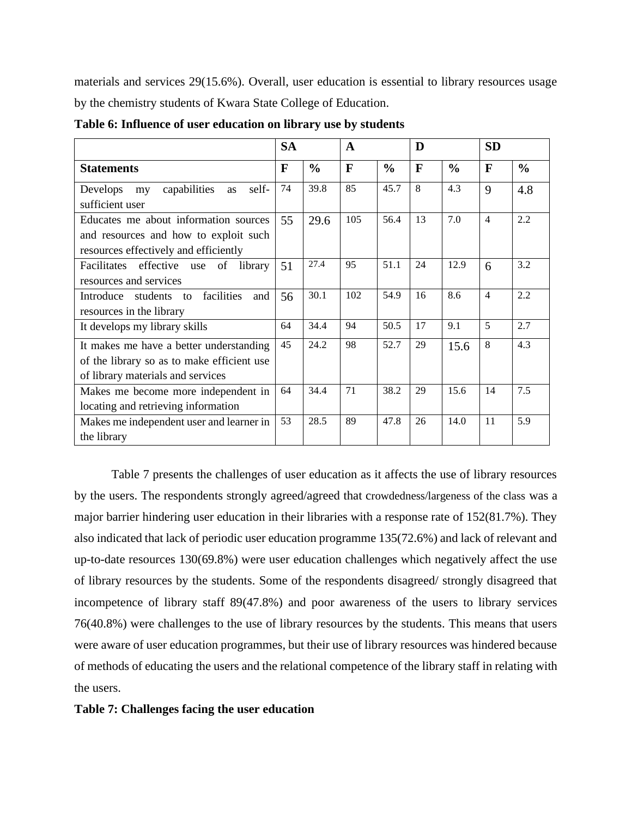materials and services 29(15.6%). Overall, user education is essential to library resources usage by the chemistry students of Kwara State College of Education.

|                                                                                                                            | <b>SA</b><br>$\mathbf{A}$ |               |              | D             |              | <b>SD</b>     |                |               |
|----------------------------------------------------------------------------------------------------------------------------|---------------------------|---------------|--------------|---------------|--------------|---------------|----------------|---------------|
| <b>Statements</b>                                                                                                          | F                         | $\frac{0}{0}$ | $\mathbf{F}$ | $\frac{0}{0}$ | $\mathbf{F}$ | $\frac{0}{0}$ | F              | $\frac{0}{0}$ |
| capabilities<br>self-<br><b>Develops</b><br>my<br>as<br>sufficient user                                                    | 74                        | 39.8          | 85           | 45.7          | 8            | 4.3           | 9              | 4.8           |
| Educates me about information sources<br>and resources and how to exploit such<br>resources effectively and efficiently    | 55                        | 29.6          | 105          | 56.4          | 13           | 7.0           | $\overline{4}$ | 2.2           |
| Facilitates<br>effective<br>of<br>library<br>use<br>resources and services                                                 | 51                        | 27.4          | 95           | 51.1          | 24           | 12.9          | 6              | 3.2           |
| facilities<br>Introduce<br>students<br>and<br>$\overline{t}$<br>resources in the library                                   | 56                        | 30.1          | 102          | 54.9          | 16           | 8.6           | $\overline{4}$ | 2.2           |
| It develops my library skills                                                                                              | 64                        | 34.4          | 94           | 50.5          | 17           | 9.1           | 5              | 2.7           |
| It makes me have a better understanding<br>of the library so as to make efficient use<br>of library materials and services | 45                        | 24.2          | 98           | 52.7          | 29           | 15.6          | 8              | 4.3           |
| Makes me become more independent in<br>locating and retrieving information                                                 | 64                        | 34.4          | 71           | 38.2          | 29           | 15.6          | 14             | 7.5           |
| Makes me independent user and learner in<br>the library                                                                    | 53                        | 28.5          | 89           | 47.8          | 26           | 14.0          | 11             | 5.9           |

**Table 6: Influence of user education on library use by students**

Table 7 presents the challenges of user education as it affects the use of library resources by the users. The respondents strongly agreed/agreed that crowdedness/largeness of the class was a major barrier hindering user education in their libraries with a response rate of 152(81.7%). They also indicated that lack of periodic user education programme 135(72.6%) and lack of relevant and up-to-date resources 130(69.8%) were user education challenges which negatively affect the use of library resources by the students. Some of the respondents disagreed/ strongly disagreed that incompetence of library staff 89(47.8%) and poor awareness of the users to library services 76(40.8%) were challenges to the use of library resources by the students. This means that users were aware of user education programmes, but their use of library resources was hindered because of methods of educating the users and the relational competence of the library staff in relating with the users.

#### **Table 7: Challenges facing the user education**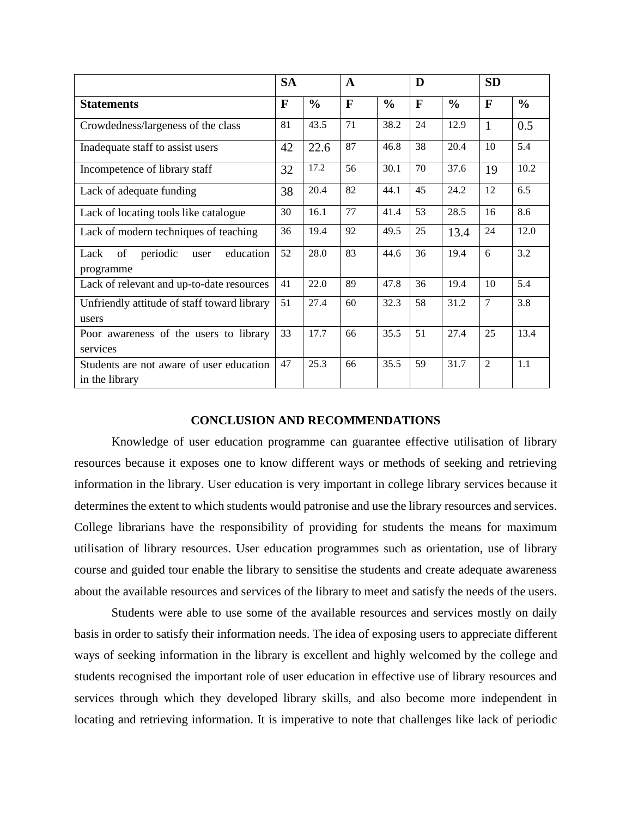|                                                            | <b>SA</b> |               | $\mathbf{A}$ |               | D  |               | <b>SD</b>      |               |
|------------------------------------------------------------|-----------|---------------|--------------|---------------|----|---------------|----------------|---------------|
| <b>Statements</b>                                          | F         | $\frac{0}{0}$ | $\mathbf{F}$ | $\frac{0}{0}$ | F  | $\frac{0}{0}$ | F              | $\frac{0}{0}$ |
| Crowdedness/largeness of the class                         | 81        | 43.5          | 71           | 38.2          | 24 | 12.9          | $\mathbf{1}$   | 0.5           |
| Inadequate staff to assist users                           | 42        | 22.6          | 87           | 46.8          | 38 | 20.4          | 10             | 5.4           |
| Incompetence of library staff                              | 32        | 17.2          | 56           | 30.1          | 70 | 37.6          | 19             | 10.2          |
| Lack of adequate funding                                   | 38        | 20.4          | 82           | 44.1          | 45 | 24.2          | 12             | 6.5           |
| Lack of locating tools like catalogue                      | 30        | 16.1          | 77           | 41.4          | 53 | 28.5          | 16             | 8.6           |
| Lack of modern techniques of teaching                      | 36        | 19.4          | 92           | 49.5          | 25 | 13.4          | 24             | 12.0          |
| Lack<br>of<br>periodic<br>education<br>user<br>programme   | 52        | 28.0          | 83           | 44.6          | 36 | 19.4          | 6              | 3.2           |
| Lack of relevant and up-to-date resources                  | 41        | 22.0          | 89           | 47.8          | 36 | 19.4          | 10             | 5.4           |
| Unfriendly attitude of staff toward library<br>users       | 51        | 27.4          | 60           | 32.3          | 58 | 31.2          | $\overline{7}$ | 3.8           |
| Poor awareness of the users to library<br>services         | 33        | 17.7          | 66           | 35.5          | 51 | 27.4          | 25             | 13.4          |
| Students are not aware of user education<br>in the library | 47        | 25.3          | 66           | 35.5          | 59 | 31.7          | $\overline{2}$ | 1.1           |

#### **CONCLUSION AND RECOMMENDATIONS**

Knowledge of user education programme can guarantee effective utilisation of library resources because it exposes one to know different ways or methods of seeking and retrieving information in the library. User education is very important in college library services because it determines the extent to which students would patronise and use the library resources and services. College librarians have the responsibility of providing for students the means for maximum utilisation of library resources. User education programmes such as orientation, use of library course and guided tour enable the library to sensitise the students and create adequate awareness about the available resources and services of the library to meet and satisfy the needs of the users.

Students were able to use some of the available resources and services mostly on daily basis in order to satisfy their information needs. The idea of exposing users to appreciate different ways of seeking information in the library is excellent and highly welcomed by the college and students recognised the important role of user education in effective use of library resources and services through which they developed library skills, and also become more independent in locating and retrieving information. It is imperative to note that challenges like lack of periodic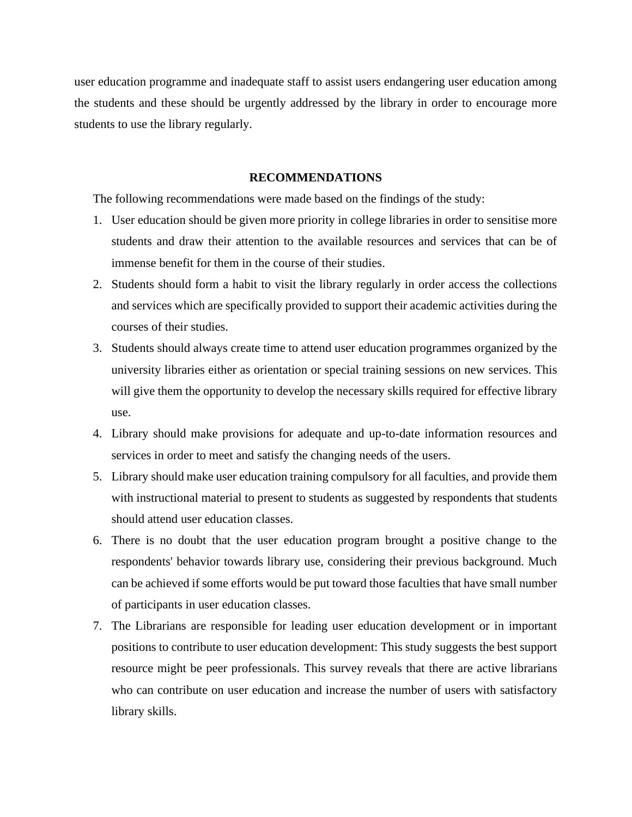user education programme and inadequate staff to assist users endangering user education among the students and these should be urgently addressed by the library in order to encourage more students to use the library regularly.

#### **RECOMMENDATIONS**

The following recommendations were made based on the findings of the study:

- 1. User education should be given more priority in college libraries in order to sensitise more students and draw their attention to the available resources and services that can be of immense benefit for them in the course of their studies.
- 2. Students should form a habit to visit the library regularly in order access the collections and services which are specifically provided to support their academic activities during the courses of their studies.
- 3. Students should always create time to attend user education programmes organized by the university libraries either as orientation or special training sessions on new services. This will give them the opportunity to develop the necessary skills required for effective library use.
- 4. Library should make provisions for adequate and up-to-date information resources and services in order to meet and satisfy the changing needs of the users.
- 5. Library should make user education training compulsory for all faculties, and provide them with instructional material to present to students as suggested by respondents that students should attend user education classes.
- 6. There is no doubt that the user education program brought a positive change to the respondents' behavior towards library use, considering their previous background. Much can be achieved if some efforts would be put toward those faculties that have small number of participants in user education classes.
- 7. The Librarians are responsible for leading user education development or in important positions to contribute to user education development: This study suggests the best support resource might be peer professionals. This survey reveals that there are active librarians who can contribute on user education and increase the number of users with satisfactory library skills.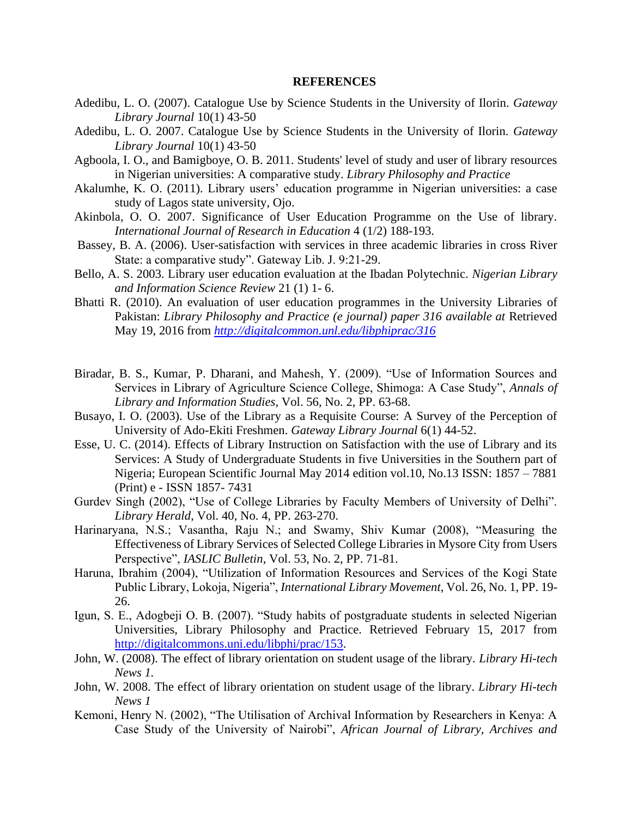#### **REFERENCES**

- Adedibu, L. O. (2007). Catalogue Use by Science Students in the University of Ilorin. *Gateway Library Journal* 10(1) 43-50
- Adedibu, L. O. 2007. Catalogue Use by Science Students in the University of Ilorin. *Gateway Library Journal* 10(1) 43-50
- Agboola, I. O., and Bamigboye, O. B. 2011. Students' level of study and user of library resources in Nigerian universities: A comparative study. *Library Philosophy and Practice*
- Akalumhe, K. O. (2011). Library users' education programme in Nigerian universities: a case study of Lagos state university, Ojo.
- Akinbola, O. O. 2007. Significance of User Education Programme on the Use of library. *International Journal of Research in Education* 4 (1/2) 188-193.
- Bassey, B. A. (2006). User-satisfaction with services in three academic libraries in cross River State: a comparative study". Gateway Lib. J. 9:21-29.
- Bello, A. S. 2003. Library user education evaluation at the Ibadan Polytechnic. *Nigerian Library and Information Science Review* 21 (1) 1- 6.
- Bhatti R. (2010). An evaluation of user education programmes in the University Libraries of Pakistan: *Library Philosophy and Practice (e journal) paper 316 available at* Retrieved May 19, 2016 from *<http://digitalcommon.unl.edu/libphiprac/316>*
- Biradar, B. S., Kumar, P. Dharani, and Mahesh, Y. (2009). "Use of Information Sources and Services in Library of Agriculture Science College, Shimoga: A Case Study", *Annals of Library and Information Studies*, Vol. 56, No. 2, PP. 63-68.
- Busayo, I. O. (2003). Use of the Library as a Requisite Course: A Survey of the Perception of University of Ado-Ekiti Freshmen. *Gateway Library Journal* 6(1) 44-52.
- Esse, U. C. (2014). Effects of Library Instruction on Satisfaction with the use of Library and its Services: A Study of Undergraduate Students in five Universities in the Southern part of Nigeria; European Scientific Journal May 2014 edition vol.10, No.13 ISSN: 1857 – 7881 (Print) e - ISSN 1857- 7431
- Gurdev Singh (2002), "Use of College Libraries by Faculty Members of University of Delhi". *Library Herald*, Vol. 40, No. 4, PP. 263-270.
- Harinaryana, N.S.; Vasantha, Raju N.; and Swamy, Shiv Kumar (2008), "Measuring the Effectiveness of Library Services of Selected College Libraries in Mysore City from Users Perspective", *IASLIC Bulletin*, Vol. 53, No. 2, PP. 71-81.
- Haruna, Ibrahim (2004), "Utilization of Information Resources and Services of the Kogi State Public Library, Lokoja, Nigeria", *International Library Movement*, Vol. 26, No. 1, PP. 19- 26.
- Igun, S. E., Adogbeji O. B. (2007). "Study habits of postgraduate students in selected Nigerian Universities, Library Philosophy and Practice. Retrieved February 15, 2017 from [http://digitalcommons.uni.edu/libphi/prac/153.](http://digitalcommons.uni.edu/libphi/prac/153)
- John, W. (2008). The effect of library orientation on student usage of the library. *Library Hi-tech News 1.*
- John, W. 2008. The effect of library orientation on student usage of the library. *Library Hi-tech News 1*
- Kemoni, Henry N. (2002), "The Utilisation of Archival Information by Researchers in Kenya: A Case Study of the University of Nairobi", *African Journal of Library, Archives and*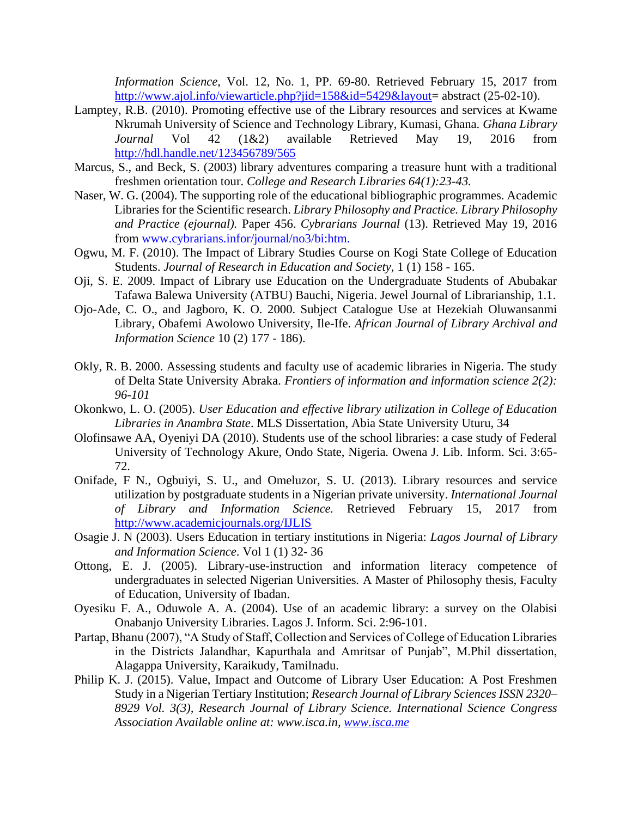*Information Science*, Vol. 12, No. 1, PP. 69-80. Retrieved February 15, 2017 from [http://www.ajol.info/viewarticle.php?jid=158&id=5429&layout=](http://www.ajol.info/viewarticle.php?jid=158&id=5429&layout) abstract (25-02-10).

- Lamptey, R.B. (2010). Promoting effective use of the Library resources and services at Kwame Nkrumah University of Science and Technology Library, Kumasi, Ghana. *Ghana Library Journal* Vol 42 (1&2) available Retrieved May 19, 2016 from <http://hdl.handle.net/123456789/565>
- Marcus, S., and Beck, S. (2003) library adventures comparing a treasure hunt with a traditional freshmen orientation tour. *College and Research Libraries 64(1):23-43.*
- Naser, W. G. (2004). The supporting role of the educational bibliographic programmes. Academic Libraries for the Scientific research. *Library Philosophy and Practice. Library Philosophy and Practice (ejournal).* Paper 456. *Cybrarians Journal* (13). Retrieved May 19, 2016 from www.cybrarians.infor/journal/no3/bi:htm.
- Ogwu, M. F. (2010). The Impact of Library Studies Course on Kogi State College of Education Students. *Journal of Research in Education and Society,* 1 (1) 158 - 165.
- Oji, S. E. 2009. Impact of Library use Education on the Undergraduate Students of Abubakar Tafawa Balewa University (ATBU) Bauchi, Nigeria. Jewel Journal of Librarianship, 1.1.
- Ojo-Ade, C. O., and Jagboro, K. O. 2000. Subject Catalogue Use at Hezekiah Oluwansanmi Library, Obafemi Awolowo University, Ile-Ife. *African Journal of Library Archival and Information Science* 10 (2) 177 - 186).
- Okly, R. B. 2000. Assessing students and faculty use of academic libraries in Nigeria. The study of Delta State University Abraka. *Frontiers of information and information science 2(2): 96-101*
- Okonkwo, L. O. (2005). *User Education and effective library utilization in College of Education Libraries in Anambra State*. MLS Dissertation, Abia State University Uturu, 34
- Olofinsawe AA, Oyeniyi DA (2010). Students use of the school libraries: a case study of Federal University of Technology Akure, Ondo State, Nigeria. Owena J. Lib. Inform. Sci. 3:65- 72.
- Onifade, F N., Ogbuiyi, S. U., and Omeluzor, S. U. (2013). Library resources and service utilization by postgraduate students in a Nigerian private university. *International Journal of Library and Information Science.* Retrieved February 15, 2017 from <http://www.academicjournals.org/IJLIS>
- Osagie J. N (2003). Users Education in tertiary institutions in Nigeria: *Lagos Journal of Library and Information Science*. Vol 1 (1) 32- 36
- Ottong, E. J. (2005). Library-use-instruction and information literacy competence of undergraduates in selected Nigerian Universities*.* A Master of Philosophy thesis, Faculty of Education, University of Ibadan.
- Oyesiku F. A., Oduwole A. A. (2004). Use of an academic library: a survey on the Olabisi Onabanjo University Libraries. Lagos J. Inform. Sci. 2:96-101.
- Partap, Bhanu (2007), "A Study of Staff, Collection and Services of College of Education Libraries in the Districts Jalandhar, Kapurthala and Amritsar of Punjab", M.Phil dissertation, Alagappa University, Karaikudy, Tamilnadu.
- Philip K. J. (2015). Value, Impact and Outcome of Library User Education: A Post Freshmen Study in a Nigerian Tertiary Institution; *Research Journal of Library Sciences ISSN 2320– 8929 Vol. 3(3), Research Journal of Library Science. International Science Congress Association Available online at: www.isca.in, [www.isca.me](http://www.isca.me/)*